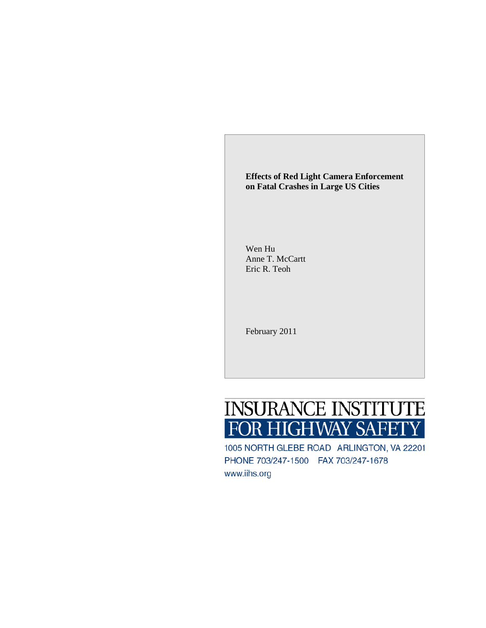**Effects of Red Light Camera Enforcement on Fatal Crashes in Large US Cities**

Wen Hu Anne T. McCartt Eric R. Teoh

February 2011

# **INSURANCE INSTITUTE** FOR HIGHWAY SAFETY

1005 NORTH GLEBE ROAD ARLINGTON, VA 22201 PHONE 703/247-1500 FAX 703/247-1678 www.iihs.org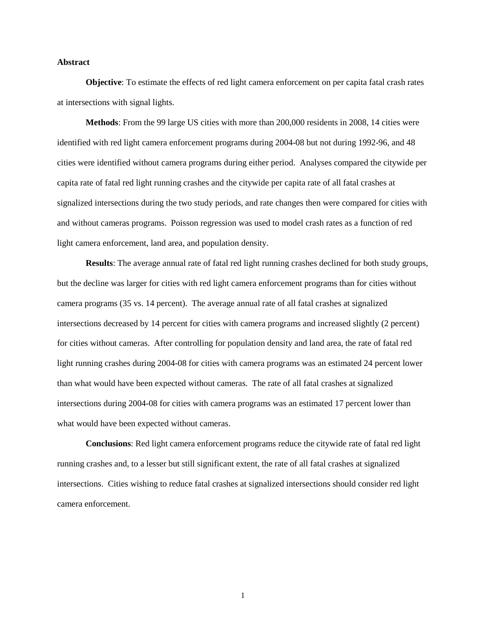#### **Abstract**

**Objective**: To estimate the effects of red light camera enforcement on per capita fatal crash rates at intersections with signal lights.

**Methods**: From the 99 large US cities with more than 200,000 residents in 2008, 14 cities were identified with red light camera enforcement programs during 2004-08 but not during 1992-96, and 48 cities were identified without camera programs during either period. Analyses compared the citywide per capita rate of fatal red light running crashes and the citywide per capita rate of all fatal crashes at signalized intersections during the two study periods, and rate changes then were compared for cities with and without cameras programs. Poisson regression was used to model crash rates as a function of red light camera enforcement, land area, and population density.

**Results**: The average annual rate of fatal red light running crashes declined for both study groups, but the decline was larger for cities with red light camera enforcement programs than for cities without camera programs (35 vs. 14 percent). The average annual rate of all fatal crashes at signalized intersections decreased by 14 percent for cities with camera programs and increased slightly (2 percent) for cities without cameras. After controlling for population density and land area, the rate of fatal red light running crashes during 2004-08 for cities with camera programs was an estimated 24 percent lower than what would have been expected without cameras. The rate of all fatal crashes at signalized intersections during 2004-08 for cities with camera programs was an estimated 17 percent lower than what would have been expected without cameras.

**Conclusions**: Red light camera enforcement programs reduce the citywide rate of fatal red light running crashes and, to a lesser but still significant extent, the rate of all fatal crashes at signalized intersections. Cities wishing to reduce fatal crashes at signalized intersections should consider red light camera enforcement.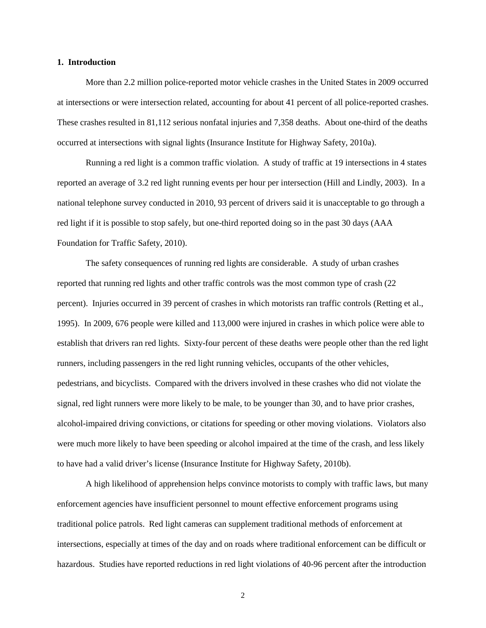#### **1. Introduction**

More than 2.2 million police-reported motor vehicle crashes in the United States in 2009 occurred at intersections or were intersection related, accounting for about 41 percent of all police-reported crashes. These crashes resulted in 81,112 serious nonfatal injuries and 7,358 deaths. About one-third of the deaths occurred at intersections with signal lights (Insurance Institute for Highway Safety, 2010a).

Running a red light is a common traffic violation. A study of traffic at 19 intersections in 4 states reported an average of 3.2 red light running events per hour per intersection (Hill and Lindly, 2003). In a national telephone survey conducted in 2010, 93 percent of drivers said it is unacceptable to go through a red light if it is possible to stop safely, but one-third reported doing so in the past 30 days (AAA Foundation for Traffic Safety, 2010).

The safety consequences of running red lights are considerable. A study of urban crashes reported that running red lights and other traffic controls was the most common type of crash (22 percent). Injuries occurred in 39 percent of crashes in which motorists ran traffic controls (Retting et al., 1995). In 2009, 676 people were killed and 113,000 were injured in crashes in which police were able to establish that drivers ran red lights. Sixty-four percent of these deaths were people other than the red light runners, including passengers in the red light running vehicles, occupants of the other vehicles, pedestrians, and bicyclists. Compared with the drivers involved in these crashes who did not violate the signal, red light runners were more likely to be male, to be younger than 30, and to have prior crashes, alcohol-impaired driving convictions, or citations for speeding or other moving violations. Violators also were much more likely to have been speeding or alcohol impaired at the time of the crash, and less likely to have had a valid driver's license (Insurance Institute for Highway Safety, 2010b).

A high likelihood of apprehension helps convince motorists to comply with traffic laws, but many enforcement agencies have insufficient personnel to mount effective enforcement programs using traditional police patrols. Red light cameras can supplement traditional methods of enforcement at intersections, especially at times of the day and on roads where traditional enforcement can be difficult or hazardous. Studies have reported reductions in red light violations of 40-96 percent after the introduction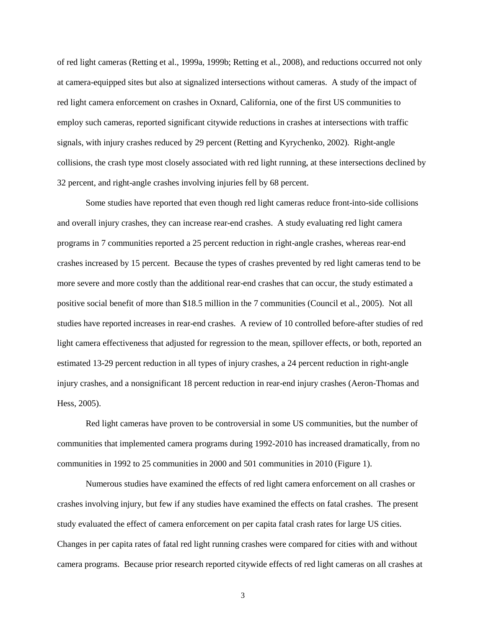of red light cameras (Retting et al., 1999a, 1999b; Retting et al., 2008), and reductions occurred not only at camera-equipped sites but also at signalized intersections without cameras. A study of the impact of red light camera enforcement on crashes in Oxnard, California, one of the first US communities to employ such cameras, reported significant citywide reductions in crashes at intersections with traffic signals, with injury crashes reduced by 29 percent (Retting and Kyrychenko, 2002). Right-angle collisions, the crash type most closely associated with red light running, at these intersections declined by 32 percent, and right-angle crashes involving injuries fell by 68 percent.

Some studies have reported that even though red light cameras reduce front-into-side collisions and overall injury crashes, they can increase rear-end crashes. A study evaluating red light camera programs in 7 communities reported a 25 percent reduction in right-angle crashes, whereas rear-end crashes increased by 15 percent. Because the types of crashes prevented by red light cameras tend to be more severe and more costly than the additional rear-end crashes that can occur, the study estimated a positive social benefit of more than \$18.5 million in the 7 communities (Council et al., 2005). Not all studies have reported increases in rear-end crashes. A review of 10 controlled before-after studies of red light camera effectiveness that adjusted for regression to the mean, spillover effects, or both, reported an estimated 13-29 percent reduction in all types of injury crashes, a 24 percent reduction in right-angle injury crashes, and a nonsignificant 18 percent reduction in rear-end injury crashes (Aeron-Thomas and Hess, 2005).

Red light cameras have proven to be controversial in some US communities, but the number of communities that implemented camera programs during 1992-2010 has increased dramatically, from no communities in 1992 to 25 communities in 2000 and 501 communities in 2010 (Figure 1).

Numerous studies have examined the effects of red light camera enforcement on all crashes or crashes involving injury, but few if any studies have examined the effects on fatal crashes. The present study evaluated the effect of camera enforcement on per capita fatal crash rates for large US cities. Changes in per capita rates of fatal red light running crashes were compared for cities with and without camera programs. Because prior research reported citywide effects of red light cameras on all crashes at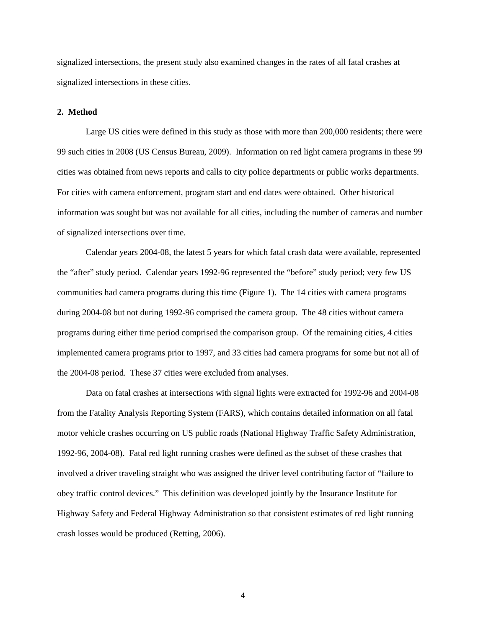signalized intersections, the present study also examined changes in the rates of all fatal crashes at signalized intersections in these cities.

#### **2. Method**

Large US cities were defined in this study as those with more than 200,000 residents; there were 99 such cities in 2008 (US Census Bureau, 2009). Information on red light camera programs in these 99 cities was obtained from news reports and calls to city police departments or public works departments. For cities with camera enforcement, program start and end dates were obtained. Other historical information was sought but was not available for all cities, including the number of cameras and number of signalized intersections over time.

Calendar years 2004-08, the latest 5 years for which fatal crash data were available, represented the "after" study period. Calendar years 1992-96 represented the "before" study period; very few US communities had camera programs during this time (Figure 1). The 14 cities with camera programs during 2004-08 but not during 1992-96 comprised the camera group. The 48 cities without camera programs during either time period comprised the comparison group. Of the remaining cities, 4 cities implemented camera programs prior to 1997, and 33 cities had camera programs for some but not all of the 2004-08 period. These 37 cities were excluded from analyses.

Data on fatal crashes at intersections with signal lights were extracted for 1992-96 and 2004-08 from the Fatality Analysis Reporting System (FARS), which contains detailed information on all fatal motor vehicle crashes occurring on US public roads (National Highway Traffic Safety Administration, 1992-96, 2004-08). Fatal red light running crashes were defined as the subset of these crashes that involved a driver traveling straight who was assigned the driver level contributing factor of "failure to obey traffic control devices." This definition was developed jointly by the Insurance Institute for Highway Safety and Federal Highway Administration so that consistent estimates of red light running crash losses would be produced (Retting, 2006).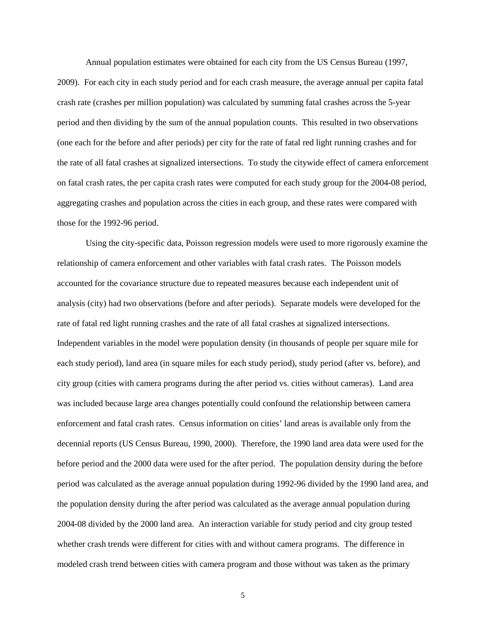Annual population estimates were obtained for each city from the US Census Bureau (1997, 2009). For each city in each study period and for each crash measure, the average annual per capita fatal crash rate (crashes per million population) was calculated by summing fatal crashes across the 5-year period and then dividing by the sum of the annual population counts. This resulted in two observations (one each for the before and after periods) per city for the rate of fatal red light running crashes and for the rate of all fatal crashes at signalized intersections. To study the citywide effect of camera enforcement on fatal crash rates, the per capita crash rates were computed for each study group for the 2004-08 period, aggregating crashes and population across the cities in each group, and these rates were compared with those for the 1992-96 period.

Using the city-specific data, Poisson regression models were used to more rigorously examine the relationship of camera enforcement and other variables with fatal crash rates. The Poisson models accounted for the covariance structure due to repeated measures because each independent unit of analysis (city) had two observations (before and after periods). Separate models were developed for the rate of fatal red light running crashes and the rate of all fatal crashes at signalized intersections. Independent variables in the model were population density (in thousands of people per square mile for each study period), land area (in square miles for each study period), study period (after vs. before), and city group (cities with camera programs during the after period vs. cities without cameras). Land area was included because large area changes potentially could confound the relationship between camera enforcement and fatal crash rates. Census information on cities' land areas is available only from the decennial reports (US Census Bureau, 1990, 2000). Therefore, the 1990 land area data were used for the before period and the 2000 data were used for the after period. The population density during the before period was calculated as the average annual population during 1992-96 divided by the 1990 land area, and the population density during the after period was calculated as the average annual population during 2004-08 divided by the 2000 land area. An interaction variable for study period and city group tested whether crash trends were different for cities with and without camera programs. The difference in modeled crash trend between cities with camera program and those without was taken as the primary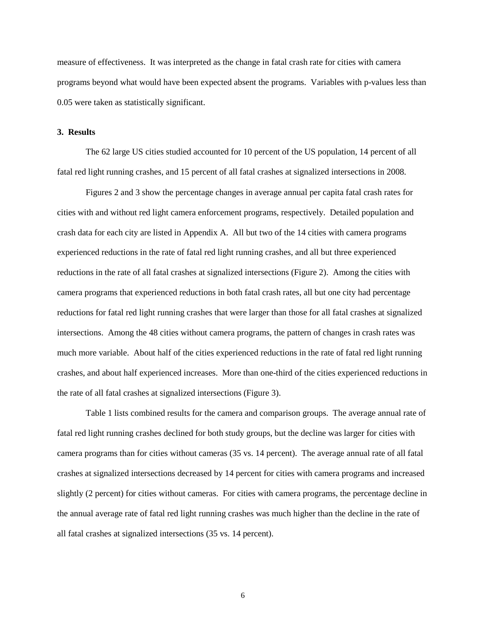measure of effectiveness. It was interpreted as the change in fatal crash rate for cities with camera programs beyond what would have been expected absent the programs. Variables with p-values less than 0.05 were taken as statistically significant.

#### **3. Results**

The 62 large US cities studied accounted for 10 percent of the US population, 14 percent of all fatal red light running crashes, and 15 percent of all fatal crashes at signalized intersections in 2008.

Figures 2 and 3 show the percentage changes in average annual per capita fatal crash rates for cities with and without red light camera enforcement programs, respectively. Detailed population and crash data for each city are listed in Appendix A. All but two of the 14 cities with camera programs experienced reductions in the rate of fatal red light running crashes, and all but three experienced reductions in the rate of all fatal crashes at signalized intersections (Figure 2). Among the cities with camera programs that experienced reductions in both fatal crash rates, all but one city had percentage reductions for fatal red light running crashes that were larger than those for all fatal crashes at signalized intersections. Among the 48 cities without camera programs, the pattern of changes in crash rates was much more variable. About half of the cities experienced reductions in the rate of fatal red light running crashes, and about half experienced increases. More than one-third of the cities experienced reductions in the rate of all fatal crashes at signalized intersections (Figure 3).

Table 1 lists combined results for the camera and comparison groups. The average annual rate of fatal red light running crashes declined for both study groups, but the decline was larger for cities with camera programs than for cities without cameras (35 vs. 14 percent). The average annual rate of all fatal crashes at signalized intersections decreased by 14 percent for cities with camera programs and increased slightly (2 percent) for cities without cameras. For cities with camera programs, the percentage decline in the annual average rate of fatal red light running crashes was much higher than the decline in the rate of all fatal crashes at signalized intersections (35 vs. 14 percent).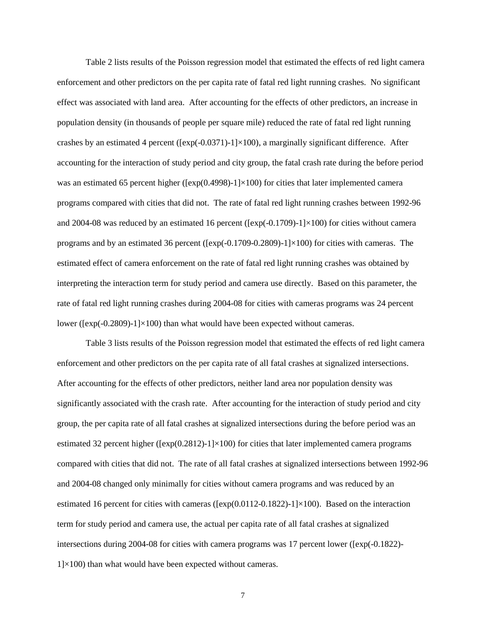Table 2 lists results of the Poisson regression model that estimated the effects of red light camera enforcement and other predictors on the per capita rate of fatal red light running crashes. No significant effect was associated with land area. After accounting for the effects of other predictors, an increase in population density (in thousands of people per square mile) reduced the rate of fatal red light running crashes by an estimated 4 percent ( $[\exp(-0.0371)-1]\times100$ ), a marginally significant difference. After accounting for the interaction of study period and city group, the fatal crash rate during the before period was an estimated 65 percent higher ( $[exp(0.4998)-1] \times 100$ ) for cities that later implemented camera programs compared with cities that did not. The rate of fatal red light running crashes between 1992-96 and 2004-08 was reduced by an estimated 16 percent ( $[\exp(-0.1709)-1]\times100$ ) for cities without camera programs and by an estimated 36 percent ( $[\exp(-0.1709 - 0.2809) - 1] \times 100$ ) for cities with cameras. The estimated effect of camera enforcement on the rate of fatal red light running crashes was obtained by interpreting the interaction term for study period and camera use directly. Based on this parameter, the rate of fatal red light running crashes during 2004-08 for cities with cameras programs was 24 percent lower ( $[\exp(-0.2809)-1]\times100$ ) than what would have been expected without cameras.

Table 3 lists results of the Poisson regression model that estimated the effects of red light camera enforcement and other predictors on the per capita rate of all fatal crashes at signalized intersections. After accounting for the effects of other predictors, neither land area nor population density was significantly associated with the crash rate. After accounting for the interaction of study period and city group, the per capita rate of all fatal crashes at signalized intersections during the before period was an estimated 32 percent higher ( $[\exp(0.2812)-1] \times 100$ ) for cities that later implemented camera programs compared with cities that did not. The rate of all fatal crashes at signalized intersections between 1992-96 and 2004-08 changed only minimally for cities without camera programs and was reduced by an estimated 16 percent for cities with cameras ( $[\exp(0.0112-0.1822)-1]\times100$ ). Based on the interaction term for study period and camera use, the actual per capita rate of all fatal crashes at signalized intersections during 2004-08 for cities with camera programs was 17 percent lower ([exp(-0.1822)-  $1 \times 100$ ) than what would have been expected without cameras.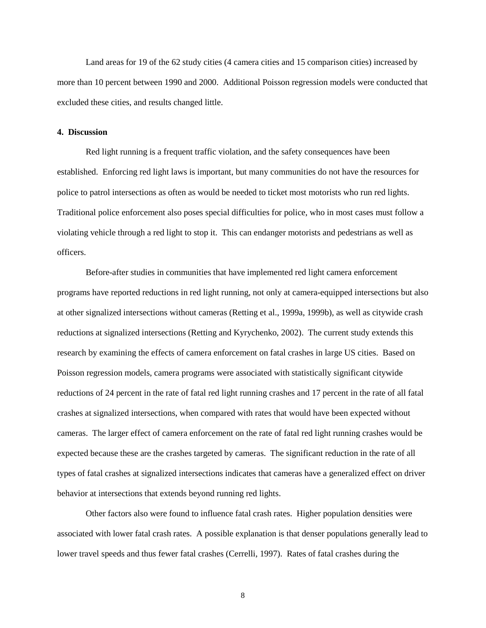Land areas for 19 of the 62 study cities (4 camera cities and 15 comparison cities) increased by more than 10 percent between 1990 and 2000. Additional Poisson regression models were conducted that excluded these cities, and results changed little.

## **4. Discussion**

Red light running is a frequent traffic violation, and the safety consequences have been established. Enforcing red light laws is important, but many communities do not have the resources for police to patrol intersections as often as would be needed to ticket most motorists who run red lights. Traditional police enforcement also poses special difficulties for police, who in most cases must follow a violating vehicle through a red light to stop it. This can endanger motorists and pedestrians as well as officers.

Before-after studies in communities that have implemented red light camera enforcement programs have reported reductions in red light running, not only at camera-equipped intersections but also at other signalized intersections without cameras (Retting et al., 1999a, 1999b), as well as citywide crash reductions at signalized intersections (Retting and Kyrychenko, 2002). The current study extends this research by examining the effects of camera enforcement on fatal crashes in large US cities. Based on Poisson regression models, camera programs were associated with statistically significant citywide reductions of 24 percent in the rate of fatal red light running crashes and 17 percent in the rate of all fatal crashes at signalized intersections, when compared with rates that would have been expected without cameras. The larger effect of camera enforcement on the rate of fatal red light running crashes would be expected because these are the crashes targeted by cameras. The significant reduction in the rate of all types of fatal crashes at signalized intersections indicates that cameras have a generalized effect on driver behavior at intersections that extends beyond running red lights.

Other factors also were found to influence fatal crash rates. Higher population densities were associated with lower fatal crash rates. A possible explanation is that denser populations generally lead to lower travel speeds and thus fewer fatal crashes (Cerrelli, 1997). Rates of fatal crashes during the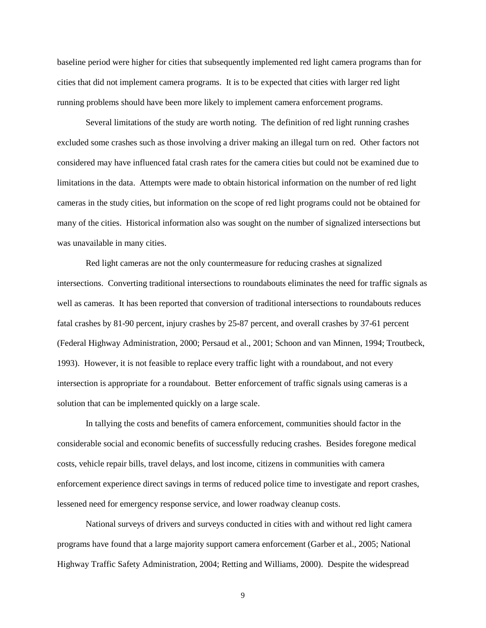baseline period were higher for cities that subsequently implemented red light camera programs than for cities that did not implement camera programs. It is to be expected that cities with larger red light running problems should have been more likely to implement camera enforcement programs.

Several limitations of the study are worth noting. The definition of red light running crashes excluded some crashes such as those involving a driver making an illegal turn on red. Other factors not considered may have influenced fatal crash rates for the camera cities but could not be examined due to limitations in the data. Attempts were made to obtain historical information on the number of red light cameras in the study cities, but information on the scope of red light programs could not be obtained for many of the cities. Historical information also was sought on the number of signalized intersections but was unavailable in many cities.

Red light cameras are not the only countermeasure for reducing crashes at signalized intersections. Converting traditional intersections to roundabouts eliminates the need for traffic signals as well as cameras. It has been reported that conversion of traditional intersections to roundabouts reduces fatal crashes by 81-90 percent, injury crashes by 25-87 percent, and overall crashes by 37-61 percent (Federal Highway Administration, 2000; Persaud et al., 2001; Schoon and van Minnen, 1994; Troutbeck, 1993). However, it is not feasible to replace every traffic light with a roundabout, and not every intersection is appropriate for a roundabout. Better enforcement of traffic signals using cameras is a solution that can be implemented quickly on a large scale.

In tallying the costs and benefits of camera enforcement, communities should factor in the considerable social and economic benefits of successfully reducing crashes. Besides foregone medical costs, vehicle repair bills, travel delays, and lost income, citizens in communities with camera enforcement experience direct savings in terms of reduced police time to investigate and report crashes, lessened need for emergency response service, and lower roadway cleanup costs.

National surveys of drivers and surveys conducted in cities with and without red light camera programs have found that a large majority support camera enforcement (Garber et al., 2005; National Highway Traffic Safety Administration, 2004; Retting and Williams, 2000). Despite the widespread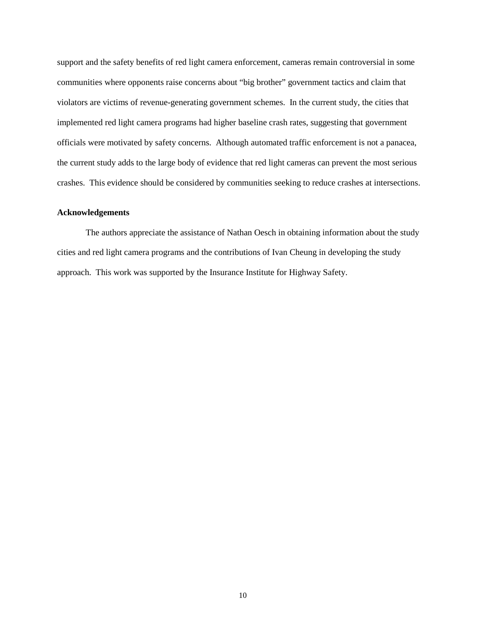support and the safety benefits of red light camera enforcement, cameras remain controversial in some communities where opponents raise concerns about "big brother" government tactics and claim that violators are victims of revenue-generating government schemes. In the current study, the cities that implemented red light camera programs had higher baseline crash rates, suggesting that government officials were motivated by safety concerns. Although automated traffic enforcement is not a panacea, the current study adds to the large body of evidence that red light cameras can prevent the most serious crashes. This evidence should be considered by communities seeking to reduce crashes at intersections.

## **Acknowledgements**

The authors appreciate the assistance of Nathan Oesch in obtaining information about the study cities and red light camera programs and the contributions of Ivan Cheung in developing the study approach. This work was supported by the Insurance Institute for Highway Safety.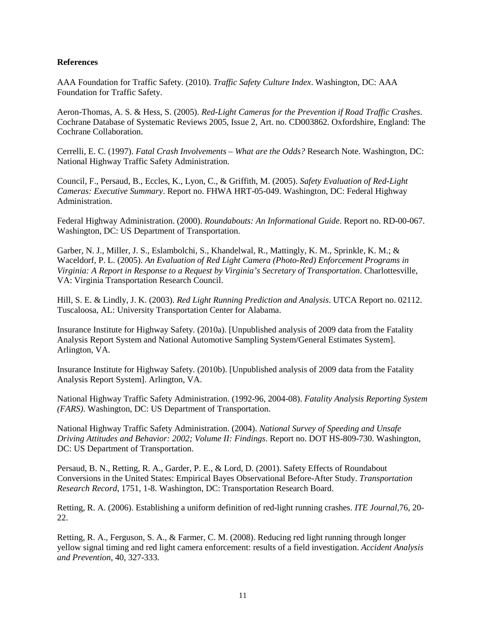# **References**

AAA Foundation for Traffic Safety. (2010). *Traffic Safety Culture Index*. Washington, DC: AAA Foundation for Traffic Safety.

Aeron-Thomas, A. S. & Hess, S. (2005). *Red-Light Cameras for the Prevention if Road Traffic Crashes*. Cochrane Database of Systematic Reviews 2005, Issue 2, Art. no. CD003862. Oxfordshire, England: The Cochrane Collaboration.

Cerrelli, E. C. (1997). *Fatal Crash Involvements – What are the Odds?* Research Note. Washington, DC: National Highway Traffic Safety Administration.

Council, F., Persaud, B., Eccles, K., Lyon, C., & Griffith, M. (2005). *Safety Evaluation of Red-Light Cameras: Executive Summary*. Report no. FHWA HRT-05-049. Washington, DC: Federal Highway Administration.

Federal Highway Administration. (2000). *Roundabouts: An Informational Guide*. Report no. RD-00-067. Washington, DC: US Department of Transportation.

Garber, N. J., Miller, J. S., Eslambolchi, S., Khandelwal, R., Mattingly, K. M., Sprinkle, K. M.; & Waceldorf, P. L. (2005). *An Evaluation of Red Light Camera (Photo-Red) Enforcement Programs in Virginia: A Report in Response to a Request by Virginia's Secretary of Transportation*. Charlottesville, VA: Virginia Transportation Research Council.

Hill, S. E. & Lindly, J. K. (2003). *Red Light Running Prediction and Analysis*. UTCA Report no. 02112. Tuscaloosa, AL: University Transportation Center for Alabama.

Insurance Institute for Highway Safety. (2010a). [Unpublished analysis of 2009 data from the Fatality Analysis Report System and National Automotive Sampling System/General Estimates System]. Arlington, VA.

Insurance Institute for Highway Safety. (2010b). [Unpublished analysis of 2009 data from the Fatality Analysis Report System]. Arlington, VA.

National Highway Traffic Safety Administration. (1992-96, 2004-08). *Fatality Analysis Reporting System (FARS)*. Washington, DC: US Department of Transportation.

National Highway Traffic Safety Administration. (2004). *National Survey of Speeding and Unsafe Driving Attitudes and Behavior: 2002; Volume II: Findings*. Report no. DOT HS-809-730. Washington, DC: US Department of Transportation.

Persaud, B. N., Retting, R. A., Garder, P. E., & Lord, D. (2001). Safety Effects of Roundabout Conversions in the United States: Empirical Bayes Observational Before-After Study. *Transportation Research Record*, 1751, 1-8. Washington, DC: Transportation Research Board.

Retting, R. A. (2006). Establishing a uniform definition of red-light running crashes. *ITE Journal*,76, 20- 22.

Retting, R. A., Ferguson, S. A., & Farmer, C. M. (2008). Reducing red light running through longer yellow signal timing and red light camera enforcement: results of a field investigation. *Accident Analysis and Prevention*, 40, 327-333.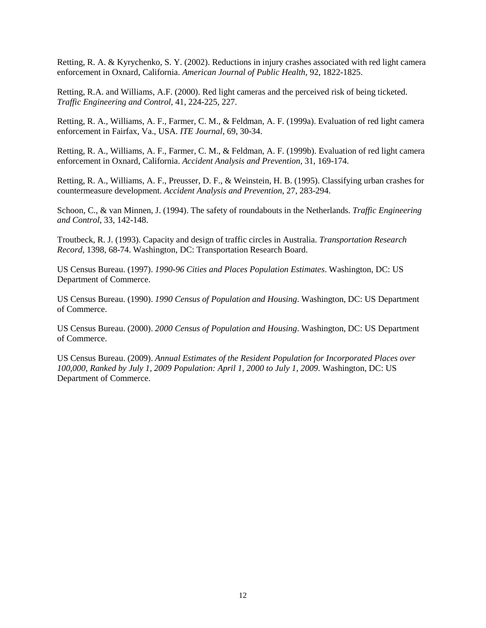Retting, R. A. & Kyrychenko, S. Y. (2002). Reductions in injury crashes associated with red light camera enforcement in Oxnard, California. *American Journal of Public Health*, 92, 1822-1825.

Retting, R.A. and Williams, A.F. (2000). Red light cameras and the perceived risk of being ticketed. *Traffic Engineering and Control*, 41, 224-225, 227.

Retting, R. A., Williams, A. F., Farmer, C. M., & Feldman, A. F. (1999a). Evaluation of red light camera enforcement in Fairfax, Va., USA. *ITE Journal*, 69, 30-34.

Retting, R. A., Williams, A. F., Farmer, C. M., & Feldman, A. F. (1999b). Evaluation of red light camera enforcement in Oxnard, California. *Accident Analysis and Prevention*, 31, 169-174.

Retting, R. A., Williams, A. F., Preusser, D. F., & Weinstein, H. B. (1995). Classifying urban crashes for countermeasure development. *Accident Analysis and Prevention*, 27, 283-294.

Schoon, C., & van Minnen, J. (1994). The safety of roundabouts in the Netherlands. *Traffic Engineering and Control*, 33, 142-148.

Troutbeck, R. J. (1993). Capacity and design of traffic circles in Australia. *Transportation Research Record*, 1398, 68-74. Washington, DC: Transportation Research Board.

US Census Bureau. (1997). *1990-96 Cities and Places Population Estimates*. Washington, DC: US Department of Commerce.

US Census Bureau. (1990). *1990 Census of Population and Housing*. Washington, DC: US Department of Commerce.

US Census Bureau. (2000). *2000 Census of Population and Housing*. Washington, DC: US Department of Commerce.

US Census Bureau. (2009). *Annual Estimates of the Resident Population for Incorporated Places over 100,000, Ranked by July 1, 2009 Population: April 1, 2000 to July 1, 2009*. Washington, DC: US Department of Commerce.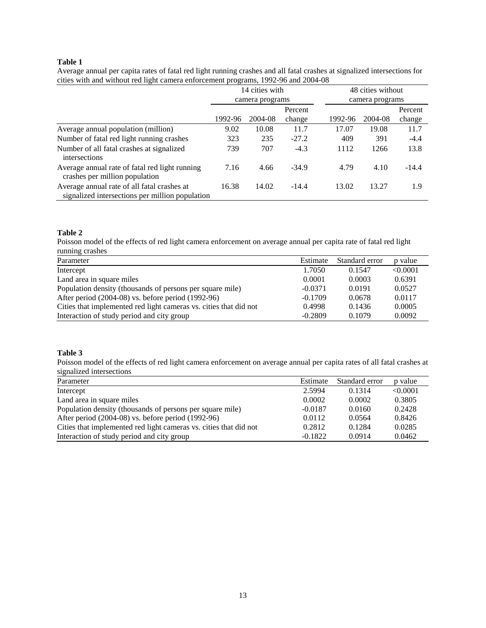### **Table 1**

|                                                                                                |         | 14 cities with  |         |         | 48 cities without |         |  |  |
|------------------------------------------------------------------------------------------------|---------|-----------------|---------|---------|-------------------|---------|--|--|
|                                                                                                |         | camera programs |         |         | camera programs   |         |  |  |
|                                                                                                |         |                 | Percent |         |                   | Percent |  |  |
|                                                                                                | 1992-96 | 2004-08         | change  | 1992-96 | 2004-08           | change  |  |  |
| Average annual population (million)                                                            | 9.02    | 10.08           | 11.7    | 17.07   | 19.08             | 11.7    |  |  |
| Number of fatal red light running crashes                                                      | 323     | 235             | $-27.2$ | 409     | 391               | $-4.4$  |  |  |
| Number of all fatal crashes at signalized<br>intersections                                     | 739     | 707             | $-4.3$  | 1112    | 1266              | 13.8    |  |  |
| Average annual rate of fatal red light running<br>crashes per million population               | 7.16    | 4.66            | $-34.9$ | 4.79    | 4.10              | $-14.4$ |  |  |
| Average annual rate of all fatal crashes at<br>signalized intersections per million population | 16.38   | 14.02           | $-14.4$ | 13.02   | 13.27             | 1.9     |  |  |

Average annual per capita rates of fatal red light running crashes and all fatal crashes at signalized intersections for cities with and without red light camera enforcement programs, 1992-96 and 2004-08

# **Table 2**

Poisson model of the effects of red light camera enforcement on average annual per capita rate of fatal red light running crashes

| Parameter                                                         | Estimate  | Standard error | p value  |
|-------------------------------------------------------------------|-----------|----------------|----------|
| Intercept                                                         | 1.7050    | 0.1547         | < 0.0001 |
| Land area in square miles                                         | 0.0001    | 0.0003         | 0.6391   |
| Population density (thousands of persons per square mile)         | $-0.0371$ | 0.0191         | 0.0527   |
| After period (2004-08) vs. before period (1992-96)                | $-0.1709$ | 0.0678         | 0.0117   |
| Cities that implemented red light cameras vs. cities that did not | 0.4998    | 0.1436         | 0.0005   |
| Interaction of study period and city group                        | $-0.2809$ | 0.1079         | 0.0092   |

## **Table 3**

Poisson model of the effects of red light camera enforcement on average annual per capita rates of all fatal crashes at signalized intersections

| Parameter                                                         | Estimate  | Standard error | p value  |
|-------------------------------------------------------------------|-----------|----------------|----------|
| Intercept                                                         | 2.5994    | 0.1314         | < 0.0001 |
| Land area in square miles                                         | 0.0002    | 0.0002         | 0.3805   |
| Population density (thousands of persons per square mile)         | $-0.0187$ | 0.0160         | 0.2428   |
| After period (2004-08) vs. before period (1992-96)                | 0.0112    | 0.0564         | 0.8426   |
| Cities that implemented red light cameras vs. cities that did not | 0.2812    | 0.1284         | 0.0285   |
| Interaction of study period and city group                        | $-0.1822$ | 0.0914         | 0.0462   |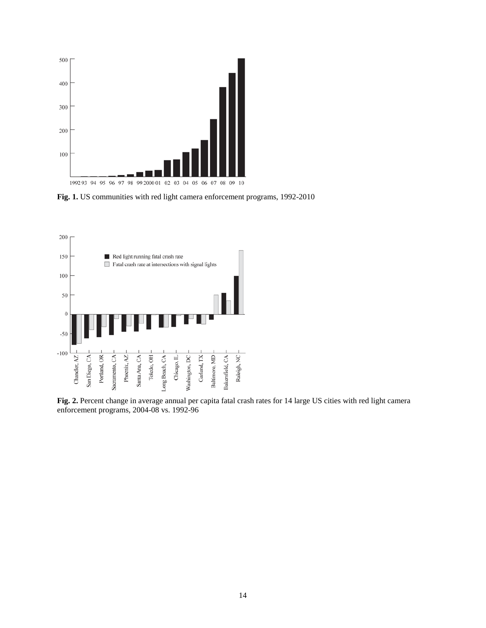

**Fig. 1.** US communities with red light camera enforcement programs, 1992-2010



**Fig. 2.** Percent change in average annual per capita fatal crash rates for 14 large US cities with red light camera enforcement programs, 2004-08 vs. 1992-96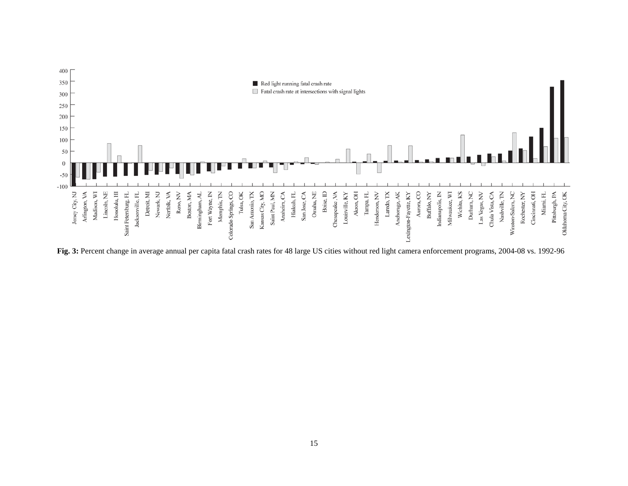

**Fig. 3:** Percent change in average annual per capita fatal crash rates for 48 large US cities without red light camera enforcement programs, 2004-08 vs. 1992-96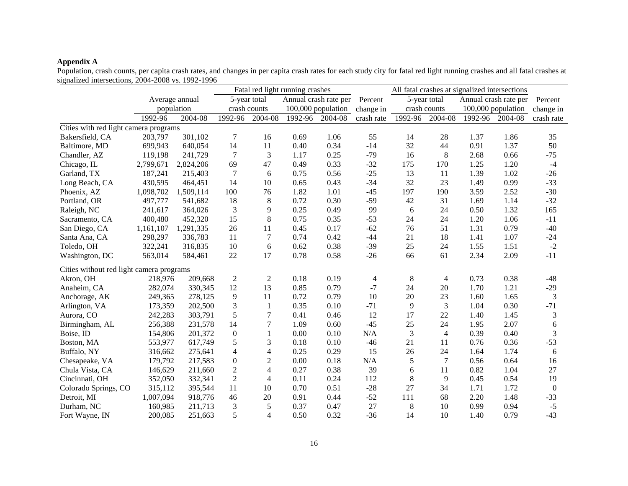#### **Appendix A**

Population, crash counts, per capita crash rates, and changes in per capita crash rates for each study city for fatal red light running crashes and all fatal crashes at signalized intersections, 2004-2008 vs. 1992-1996

|                                          |                |           | Fatal red light running crashes |                  |                       |         | All fatal crashes at signalized intersections |              |                |                       |                 |                  |
|------------------------------------------|----------------|-----------|---------------------------------|------------------|-----------------------|---------|-----------------------------------------------|--------------|----------------|-----------------------|-----------------|------------------|
|                                          | Average annual |           | 5-year total                    |                  | Annual crash rate per |         | Percent                                       | 5-year total |                | Annual crash rate per |                 | Percent          |
|                                          | population     |           | crash counts                    |                  | 100,000 population    |         | change in                                     | crash counts |                | 100,000 population    |                 | change in        |
|                                          | 1992-96        | 2004-08   | 1992-96                         | 2004-08          | 1992-96               | 2004-08 | crash rate                                    | 1992-96      | 2004-08        |                       | 1992-96 2004-08 | crash rate       |
| Cities with red light camera programs    |                |           |                                 |                  |                       |         |                                               |              |                |                       |                 |                  |
| Bakersfield, CA                          | 203,797        | 301,102   | $\tau$                          | 16               | 0.69                  | 1.06    | 55                                            | 14           | 28             | 1.37                  | 1.86            | 35               |
| Baltimore, MD                            | 699,943        | 640,054   | 14                              | 11               | 0.40                  | 0.34    | $-14$                                         | 32           | 44             | 0.91                  | 1.37            | 50               |
| Chandler, AZ                             | 119,198        | 241,729   | $\overline{7}$                  | 3                | 1.17                  | 0.25    | $-79$                                         | 16           | 8              | 2.68                  | 0.66            | $-75$            |
| Chicago, IL                              | 2,799,671      | 2,824,206 | 69                              | 47               | 0.49                  | 0.33    | $-32$                                         | 175          | 170            | 1.25                  | 1.20            | $-4$             |
| Garland, TX                              | 187,241        | 215,403   | $\overline{7}$                  | 6                | 0.75                  | 0.56    | $-25$                                         | 13           | 11             | 1.39                  | 1.02            | $-26$            |
| Long Beach, CA                           | 430,595        | 464,451   | 14                              | 10               | 0.65                  | 0.43    | $-34$                                         | 32           | 23             | 1.49                  | 0.99            | $-33$            |
| Phoenix, AZ                              | 1,098,702      | 1,509,114 | 100                             | 76               | 1.82                  | 1.01    | $-45$                                         | 197          | 190            | 3.59                  | 2.52            | $-30$            |
| Portland, OR                             | 497,777        | 541,682   | 18                              | $\,8\,$          | 0.72                  | 0.30    | $-59$                                         | 42           | 31             | 1.69                  | 1.14            | $-32$            |
| Raleigh, NC                              | 241,617        | 364,026   | 3                               | 9                | 0.25                  | 0.49    | 99                                            | 6            | 24             | 0.50                  | 1.32            | 165              |
| Sacramento, CA                           | 400,480        | 452,320   | 15                              | 8                | 0.75                  | 0.35    | $-53$                                         | 24           | 24             | 1.20                  | 1.06            | $-11$            |
| San Diego, CA                            | 1,161,107      | 1,291,335 | 26                              | 11               | 0.45                  | 0.17    | $-62$                                         | 76           | 51             | 1.31                  | 0.79            | $-40$            |
| Santa Ana, CA                            | 298,297        | 336,783   | 11                              | $\overline{7}$   | 0.74                  | 0.42    | $-44$                                         | 21           | 18             | 1.41                  | 1.07            | $-24$            |
| Toledo, OH                               | 322,241        | 316,835   | 10                              | 6                | 0.62                  | 0.38    | $-39$                                         | 25           | 24             | 1.55                  | 1.51            | $-2$             |
| Washington, DC                           | 563,014        | 584,461   | 22                              | 17               | 0.78                  | 0.58    | $-26$                                         | 66           | 61             | 2.34                  | 2.09            | $-11$            |
| Cities without red light camera programs |                |           |                                 |                  |                       |         |                                               |              |                |                       |                 |                  |
| Akron, OH                                | 218,976        | 209,668   | $\overline{c}$                  | $\mathbf{2}$     | 0.18                  | 0.19    | 4                                             | 8            | 4              | 0.73                  | 0.38            | $-48$            |
| Anaheim, CA                              | 282,074        | 330,345   | 12                              | 13               | 0.85                  | 0.79    | $-7$                                          | 24           | 20             | 1.70                  | 1.21            | $-29$            |
| Anchorage, AK                            | 249,365        | 278,125   | 9                               | 11               | 0.72                  | 0.79    | 10                                            | 20           | 23             | 1.60                  | 1.65            | $\mathfrak{Z}$   |
| Arlington, VA                            | 173,359        | 202,500   | 3                               | $\mathbf{1}$     | 0.35                  | 0.10    | $-71$                                         | 9            | 3              | 1.04                  | 0.30            | $-71$            |
| Aurora, CO                               | 242,283        | 303,791   | 5                               | $\tau$           | 0.41                  | 0.46    | 12                                            | 17           | 22             | 1.40                  | 1.45            | 3                |
| Birmingham, AL                           | 256,388        | 231,578   | 14                              | $\boldsymbol{7}$ | 1.09                  | 0.60    | $-45$                                         | 25           | 24             | 1.95                  | 2.07            | $\epsilon$       |
| Boise, ID                                | 154,806        | 201,372   | $\boldsymbol{0}$                | 1                | 0.00                  | 0.10    | N/A                                           | 3            | $\overline{4}$ | 0.39                  | 0.40            | 3                |
| Boston, MA                               | 553,977        | 617,749   | 5                               | 3                | 0.18                  | 0.10    | $-46$                                         | 21           | 11             | 0.76                  | 0.36            | $-53$            |
| Buffalo, NY                              | 316,662        | 275,641   | 4                               | $\overline{4}$   | 0.25                  | 0.29    | 15                                            | 26           | 24             | 1.64                  | 1.74            | 6                |
| Chesapeake, VA                           | 179,792        | 217,583   | $\mathbf{0}$                    | $\overline{c}$   | 0.00                  | 0.18    | N/A                                           | 5            | 7              | 0.56                  | 0.64            | 16               |
| Chula Vista, CA                          | 146,629        | 211,660   | $\overline{2}$                  | $\overline{4}$   | 0.27                  | 0.38    | 39                                            | 6            | 11             | 0.82                  | 1.04            | 27               |
| Cincinnati, OH                           | 352,050        | 332,341   | 2                               | $\overline{4}$   | 0.11                  | 0.24    | 112                                           | 8            | 9              | 0.45                  | 0.54            | 19               |
| Colorado Springs, CO                     | 315,112        | 395,544   | 11                              | 10               | 0.70                  | 0.51    | $-28$                                         | 27           | 34             | 1.71                  | 1.72            | $\boldsymbol{0}$ |
| Detroit, MI                              | 1,007,094      | 918,776   | 46                              | 20               | 0.91                  | 0.44    | $-52$                                         | 111          | 68             | 2.20                  | 1.48            | $-33$            |
| Durham, NC                               | 160,985        | 211,713   | 3                               | $\mathfrak{S}$   | 0.37                  | 0.47    | 27                                            | 8            | 10             | 0.99                  | 0.94            | $-5$             |
| Fort Wayne, IN                           | 200,085        | 251,663   | 5                               | $\overline{4}$   | 0.50                  | 0.32    | $-36$                                         | 14           | 10             | 1.40                  | 0.79            | $-43$            |